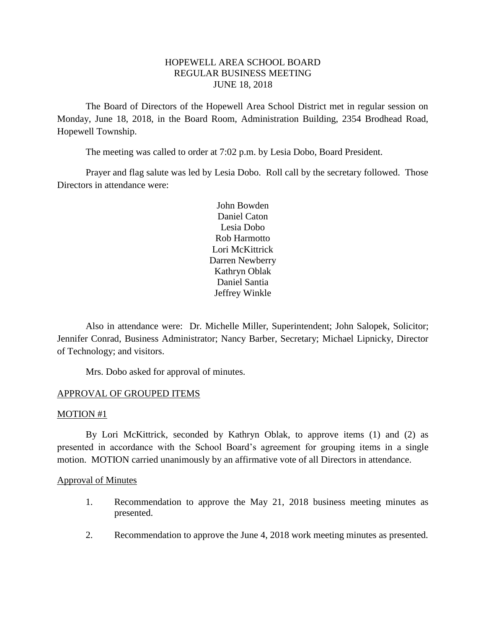# HOPEWELL AREA SCHOOL BOARD REGULAR BUSINESS MEETING JUNE 18, 2018

The Board of Directors of the Hopewell Area School District met in regular session on Monday, June 18, 2018, in the Board Room, Administration Building, 2354 Brodhead Road, Hopewell Township.

The meeting was called to order at 7:02 p.m. by Lesia Dobo, Board President.

Prayer and flag salute was led by Lesia Dobo. Roll call by the secretary followed. Those Directors in attendance were:

> John Bowden Daniel Caton Lesia Dobo Rob Harmotto Lori McKittrick Darren Newberry Kathryn Oblak Daniel Santia Jeffrey Winkle

Also in attendance were: Dr. Michelle Miller, Superintendent; John Salopek, Solicitor; Jennifer Conrad, Business Administrator; Nancy Barber, Secretary; Michael Lipnicky, Director of Technology; and visitors.

Mrs. Dobo asked for approval of minutes.

# APPROVAL OF GROUPED ITEMS

### MOTION #1

By Lori McKittrick, seconded by Kathryn Oblak, to approve items (1) and (2) as presented in accordance with the School Board's agreement for grouping items in a single motion. MOTION carried unanimously by an affirmative vote of all Directors in attendance.

### Approval of Minutes

- 1. Recommendation to approve the May 21, 2018 business meeting minutes as presented.
- 2. Recommendation to approve the June 4, 2018 work meeting minutes as presented.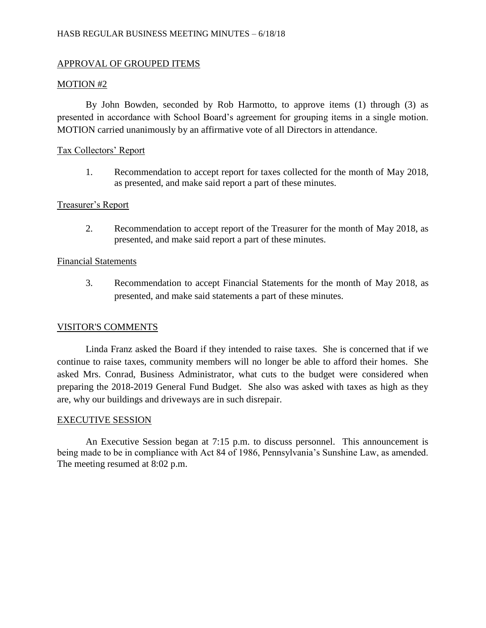# APPROVAL OF GROUPED ITEMS

# MOTION #2

By John Bowden, seconded by Rob Harmotto, to approve items (1) through (3) as presented in accordance with School Board's agreement for grouping items in a single motion. MOTION carried unanimously by an affirmative vote of all Directors in attendance.

## Tax Collectors' Report

1. Recommendation to accept report for taxes collected for the month of May 2018, as presented, and make said report a part of these minutes.

## Treasurer's Report

2. Recommendation to accept report of the Treasurer for the month of May 2018, as presented, and make said report a part of these minutes.

### Financial Statements

3. Recommendation to accept Financial Statements for the month of May 2018, as presented, and make said statements a part of these minutes.

# VISITOR'S COMMENTS

Linda Franz asked the Board if they intended to raise taxes. She is concerned that if we continue to raise taxes, community members will no longer be able to afford their homes. She asked Mrs. Conrad, Business Administrator, what cuts to the budget were considered when preparing the 2018-2019 General Fund Budget. She also was asked with taxes as high as they are, why our buildings and driveways are in such disrepair.

### EXECUTIVE SESSION

An Executive Session began at 7:15 p.m. to discuss personnel. This announcement is being made to be in compliance with Act 84 of 1986, Pennsylvania's Sunshine Law, as amended. The meeting resumed at 8:02 p.m.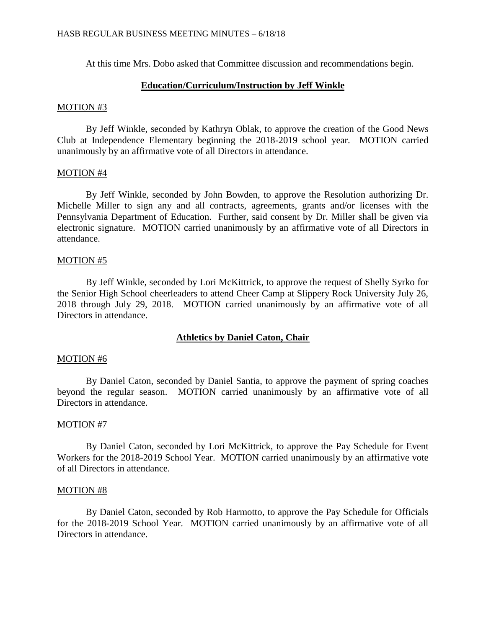At this time Mrs. Dobo asked that Committee discussion and recommendations begin.

### **Education/Curriculum/Instruction by Jeff Winkle**

#### MOTION #3

By Jeff Winkle, seconded by Kathryn Oblak, to approve the creation of the Good News Club at Independence Elementary beginning the 2018-2019 school year. MOTION carried unanimously by an affirmative vote of all Directors in attendance.

### MOTION #4

By Jeff Winkle, seconded by John Bowden, to approve the Resolution authorizing Dr. Michelle Miller to sign any and all contracts, agreements, grants and/or licenses with the Pennsylvania Department of Education. Further, said consent by Dr. Miller shall be given via electronic signature. MOTION carried unanimously by an affirmative vote of all Directors in attendance.

#### MOTION #5

By Jeff Winkle, seconded by Lori McKittrick, to approve the request of Shelly Syrko for the Senior High School cheerleaders to attend Cheer Camp at Slippery Rock University July 26, 2018 through July 29, 2018. MOTION carried unanimously by an affirmative vote of all Directors in attendance.

### **Athletics by Daniel Caton, Chair**

### MOTION #6

By Daniel Caton, seconded by Daniel Santia, to approve the payment of spring coaches beyond the regular season. MOTION carried unanimously by an affirmative vote of all Directors in attendance.

### MOTION #7

By Daniel Caton, seconded by Lori McKittrick, to approve the Pay Schedule for Event Workers for the 2018-2019 School Year. MOTION carried unanimously by an affirmative vote of all Directors in attendance.

#### MOTION #8

By Daniel Caton, seconded by Rob Harmotto, to approve the Pay Schedule for Officials for the 2018-2019 School Year. MOTION carried unanimously by an affirmative vote of all Directors in attendance.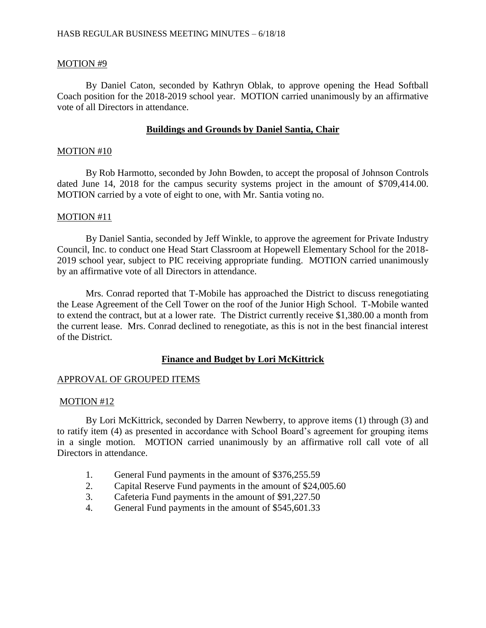## MOTION #9

By Daniel Caton, seconded by Kathryn Oblak, to approve opening the Head Softball Coach position for the 2018-2019 school year. MOTION carried unanimously by an affirmative vote of all Directors in attendance.

# **Buildings and Grounds by Daniel Santia, Chair**

### MOTION #10

By Rob Harmotto, seconded by John Bowden, to accept the proposal of Johnson Controls dated June 14, 2018 for the campus security systems project in the amount of \$709,414.00. MOTION carried by a vote of eight to one, with Mr. Santia voting no.

## MOTION #11

By Daniel Santia, seconded by Jeff Winkle, to approve the agreement for Private Industry Council, Inc. to conduct one Head Start Classroom at Hopewell Elementary School for the 2018- 2019 school year, subject to PIC receiving appropriate funding. MOTION carried unanimously by an affirmative vote of all Directors in attendance.

Mrs. Conrad reported that T-Mobile has approached the District to discuss renegotiating the Lease Agreement of the Cell Tower on the roof of the Junior High School. T-Mobile wanted to extend the contract, but at a lower rate. The District currently receive \$1,380.00 a month from the current lease. Mrs. Conrad declined to renegotiate, as this is not in the best financial interest of the District.

# **Finance and Budget by Lori McKittrick**

# APPROVAL OF GROUPED ITEMS

### MOTION #12

By Lori McKittrick, seconded by Darren Newberry, to approve items (1) through (3) and to ratify item (4) as presented in accordance with School Board's agreement for grouping items in a single motion. MOTION carried unanimously by an affirmative roll call vote of all Directors in attendance.

- 1. General Fund payments in the amount of \$376,255.59
- 2. Capital Reserve Fund payments in the amount of \$24,005.60
- 3. Cafeteria Fund payments in the amount of \$91,227.50
- 4. General Fund payments in the amount of \$545,601.33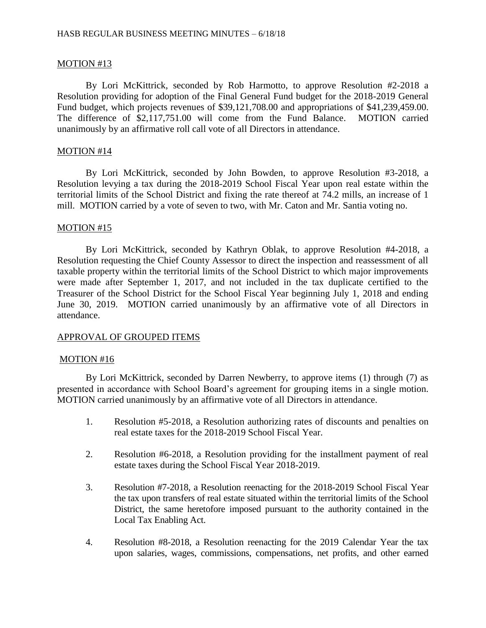## MOTION #13

By Lori McKittrick, seconded by Rob Harmotto, to approve Resolution #2-2018 a Resolution providing for adoption of the Final General Fund budget for the 2018-2019 General Fund budget, which projects revenues of \$39,121,708.00 and appropriations of \$41,239,459.00. The difference of \$2,117,751.00 will come from the Fund Balance. MOTION carried unanimously by an affirmative roll call vote of all Directors in attendance.

### MOTION #14

By Lori McKittrick, seconded by John Bowden, to approve Resolution #3-2018, a Resolution levying a tax during the 2018-2019 School Fiscal Year upon real estate within the territorial limits of the School District and fixing the rate thereof at 74.2 mills, an increase of 1 mill. MOTION carried by a vote of seven to two, with Mr. Caton and Mr. Santia voting no.

### MOTION #15

By Lori McKittrick, seconded by Kathryn Oblak, to approve Resolution #4-2018, a Resolution requesting the Chief County Assessor to direct the inspection and reassessment of all taxable property within the territorial limits of the School District to which major improvements were made after September 1, 2017, and not included in the tax duplicate certified to the Treasurer of the School District for the School Fiscal Year beginning July 1, 2018 and ending June 30, 2019. MOTION carried unanimously by an affirmative vote of all Directors in attendance.

### APPROVAL OF GROUPED ITEMS

#### MOTION #16

By Lori McKittrick, seconded by Darren Newberry, to approve items (1) through (7) as presented in accordance with School Board's agreement for grouping items in a single motion. MOTION carried unanimously by an affirmative vote of all Directors in attendance.

- 1. Resolution #5-2018, a Resolution authorizing rates of discounts and penalties on real estate taxes for the 2018-2019 School Fiscal Year.
- 2. Resolution #6-2018, a Resolution providing for the installment payment of real estate taxes during the School Fiscal Year 2018-2019.
- 3. Resolution #7-2018, a Resolution reenacting for the 2018-2019 School Fiscal Year the tax upon transfers of real estate situated within the territorial limits of the School District, the same heretofore imposed pursuant to the authority contained in the Local Tax Enabling Act.
- 4. Resolution #8-2018, a Resolution reenacting for the 2019 Calendar Year the tax upon salaries, wages, commissions, compensations, net profits, and other earned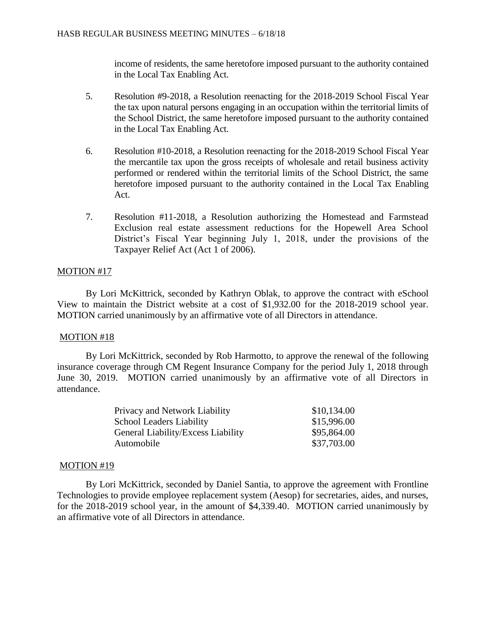income of residents, the same heretofore imposed pursuant to the authority contained in the Local Tax Enabling Act.

- 5. Resolution #9-2018, a Resolution reenacting for the 2018-2019 School Fiscal Year the tax upon natural persons engaging in an occupation within the territorial limits of the School District, the same heretofore imposed pursuant to the authority contained in the Local Tax Enabling Act.
- 6. Resolution #10-2018, a Resolution reenacting for the 2018-2019 School Fiscal Year the mercantile tax upon the gross receipts of wholesale and retail business activity performed or rendered within the territorial limits of the School District, the same heretofore imposed pursuant to the authority contained in the Local Tax Enabling Act.
- 7. Resolution #11-2018, a Resolution authorizing the Homestead and Farmstead Exclusion real estate assessment reductions for the Hopewell Area School District's Fiscal Year beginning July 1, 2018, under the provisions of the Taxpayer Relief Act (Act 1 of 2006).

# MOTION #17

By Lori McKittrick, seconded by Kathryn Oblak, to approve the contract with eSchool View to maintain the District website at a cost of \$1,932.00 for the 2018-2019 school year. MOTION carried unanimously by an affirmative vote of all Directors in attendance.

# MOTION #18

By Lori McKittrick, seconded by Rob Harmotto, to approve the renewal of the following insurance coverage through CM Regent Insurance Company for the period July 1, 2018 through June 30, 2019. MOTION carried unanimously by an affirmative vote of all Directors in attendance.

| Privacy and Network Liability      | \$10,134.00 |
|------------------------------------|-------------|
| <b>School Leaders Liability</b>    | \$15,996.00 |
| General Liability/Excess Liability | \$95,864.00 |
| Automobile                         | \$37,703.00 |
|                                    |             |

# MOTION #19

By Lori McKittrick, seconded by Daniel Santia, to approve the agreement with Frontline Technologies to provide employee replacement system (Aesop) for secretaries, aides, and nurses, for the 2018-2019 school year, in the amount of \$4,339.40. MOTION carried unanimously by an affirmative vote of all Directors in attendance.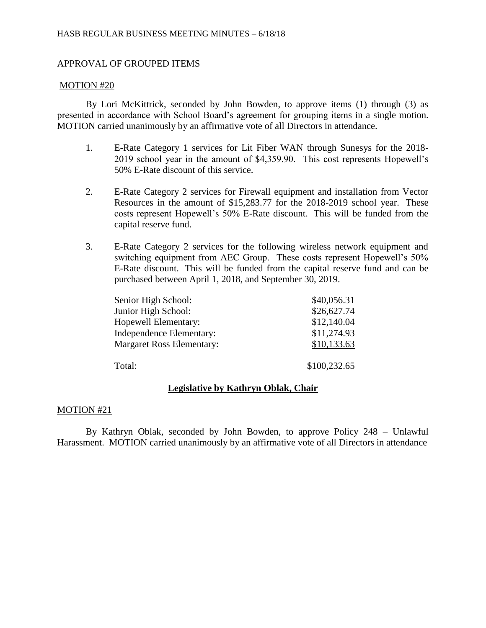# APPROVAL OF GROUPED ITEMS

## MOTION #20

By Lori McKittrick, seconded by John Bowden, to approve items (1) through (3) as presented in accordance with School Board's agreement for grouping items in a single motion. MOTION carried unanimously by an affirmative vote of all Directors in attendance.

- 1. E-Rate Category 1 services for Lit Fiber WAN through Sunesys for the 2018- 2019 school year in the amount of \$4,359.90. This cost represents Hopewell's 50% E-Rate discount of this service.
- 2. E-Rate Category 2 services for Firewall equipment and installation from Vector Resources in the amount of \$15,283.77 for the 2018-2019 school year. These costs represent Hopewell's 50% E-Rate discount. This will be funded from the capital reserve fund.
- 3. E-Rate Category 2 services for the following wireless network equipment and switching equipment from AEC Group. These costs represent Hopewell's 50% E-Rate discount. This will be funded from the capital reserve fund and can be purchased between April 1, 2018, and September 30, 2019.

| Senior High School:              | \$40,056.31  |
|----------------------------------|--------------|
| Junior High School:              | \$26,627.74  |
| Hopewell Elementary:             | \$12,140.04  |
| Independence Elementary:         | \$11,274.93  |
| <b>Margaret Ross Elementary:</b> | \$10,133.63  |
| Total:                           | \$100,232.65 |

# **Legislative by Kathryn Oblak, Chair**

### MOTION #21

By Kathryn Oblak, seconded by John Bowden, to approve Policy 248 – Unlawful Harassment. MOTION carried unanimously by an affirmative vote of all Directors in attendance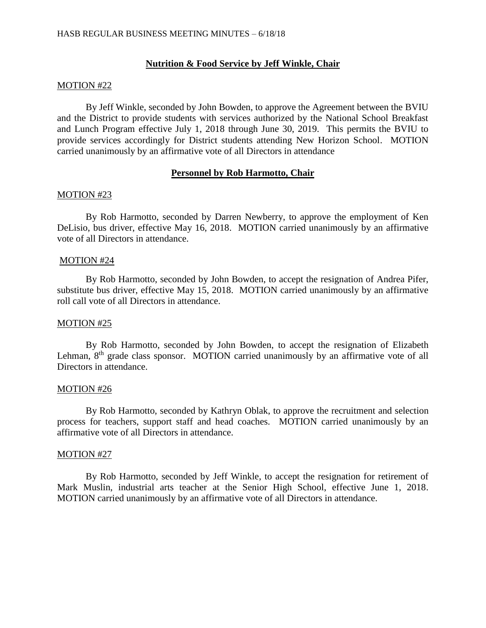# **Nutrition & Food Service by Jeff Winkle, Chair**

### MOTION #22

By Jeff Winkle, seconded by John Bowden, to approve the Agreement between the BVIU and the District to provide students with services authorized by the National School Breakfast and Lunch Program effective July 1, 2018 through June 30, 2019. This permits the BVIU to provide services accordingly for District students attending New Horizon School. MOTION carried unanimously by an affirmative vote of all Directors in attendance

## **Personnel by Rob Harmotto, Chair**

### MOTION #23

By Rob Harmotto, seconded by Darren Newberry, to approve the employment of Ken DeLisio, bus driver, effective May 16, 2018. MOTION carried unanimously by an affirmative vote of all Directors in attendance.

### MOTION #24

By Rob Harmotto, seconded by John Bowden, to accept the resignation of Andrea Pifer, substitute bus driver, effective May 15, 2018. MOTION carried unanimously by an affirmative roll call vote of all Directors in attendance.

#### MOTION #25

By Rob Harmotto, seconded by John Bowden, to accept the resignation of Elizabeth Lehman, 8<sup>th</sup> grade class sponsor. MOTION carried unanimously by an affirmative vote of all Directors in attendance.

### MOTION #26

By Rob Harmotto, seconded by Kathryn Oblak, to approve the recruitment and selection process for teachers, support staff and head coaches. MOTION carried unanimously by an affirmative vote of all Directors in attendance.

#### MOTION #27

By Rob Harmotto, seconded by Jeff Winkle, to accept the resignation for retirement of Mark Muslin, industrial arts teacher at the Senior High School, effective June 1, 2018. MOTION carried unanimously by an affirmative vote of all Directors in attendance.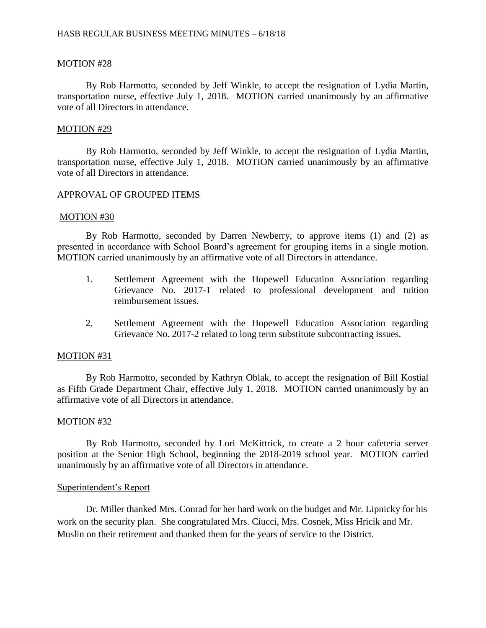## MOTION #28

By Rob Harmotto, seconded by Jeff Winkle, to accept the resignation of Lydia Martin, transportation nurse, effective July 1, 2018. MOTION carried unanimously by an affirmative vote of all Directors in attendance.

### MOTION #29

By Rob Harmotto, seconded by Jeff Winkle, to accept the resignation of Lydia Martin, transportation nurse, effective July 1, 2018. MOTION carried unanimously by an affirmative vote of all Directors in attendance.

## APPROVAL OF GROUPED ITEMS

### MOTION #30

By Rob Harmotto, seconded by Darren Newberry, to approve items (1) and (2) as presented in accordance with School Board's agreement for grouping items in a single motion. MOTION carried unanimously by an affirmative vote of all Directors in attendance.

- 1. Settlement Agreement with the Hopewell Education Association regarding Grievance No. 2017-1 related to professional development and tuition reimbursement issues.
- 2. Settlement Agreement with the Hopewell Education Association regarding Grievance No. 2017-2 related to long term substitute subcontracting issues.

### MOTION #31

By Rob Harmotto, seconded by Kathryn Oblak, to accept the resignation of Bill Kostial as Fifth Grade Department Chair, effective July 1, 2018. MOTION carried unanimously by an affirmative vote of all Directors in attendance.

### MOTION #32

By Rob Harmotto, seconded by Lori McKittrick, to create a 2 hour cafeteria server position at the Senior High School, beginning the 2018-2019 school year. MOTION carried unanimously by an affirmative vote of all Directors in attendance.

### Superintendent's Report

Dr. Miller thanked Mrs. Conrad for her hard work on the budget and Mr. Lipnicky for his work on the security plan. She congratulated Mrs. Ciucci, Mrs. Cosnek, Miss Hricik and Mr. Muslin on their retirement and thanked them for the years of service to the District.